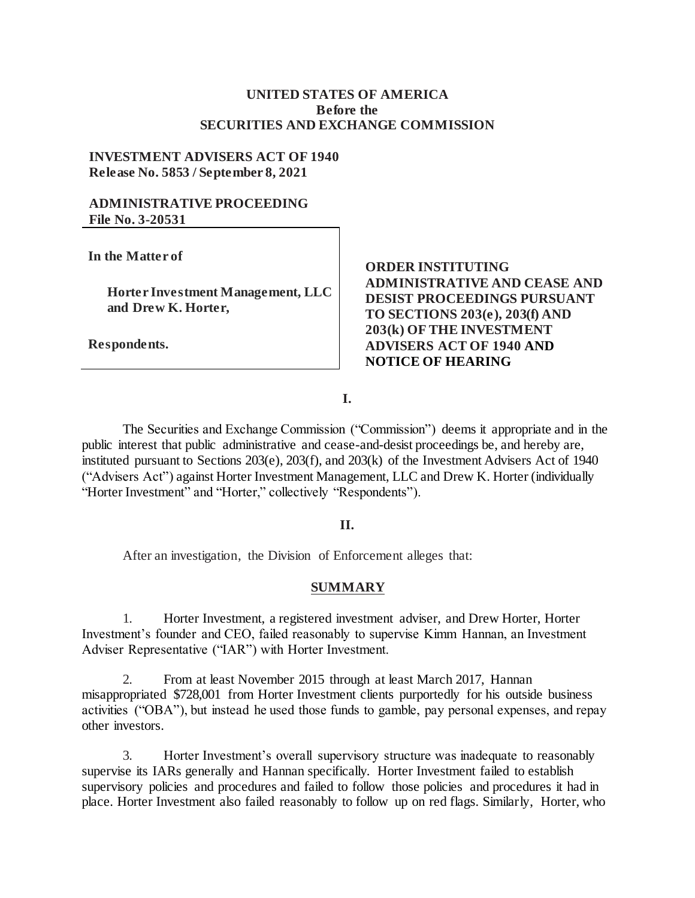### **UNITED STATES OF AMERICA Before the SECURITIES AND EXCHANGE COMMISSION**

#### **INVESTMENT ADVISERS ACT OF 1940 Release No. 5853 / September 8, 2021**

### **ADMINISTRATIVE PROCEEDING File No. 3-20531**

**In the Matter of**

**Horter Investment Management, LLC and Drew K. Horter,** 

**Respondents.**

## **ORDER INSTITUTING ADMINISTRATIVE AND CEASE AND DESIST PROCEEDINGS PURSUANT TO SECTIONS 203(e), 203(f) AND 203(k) OF THE INVESTMENT ADVISERS ACT OF 1940 AND NOTICE OF HEARING**

**I.**

The Securities and Exchange Commission ("Commission") deems it appropriate and in the public interest that public administrative and cease-and-desist proceedings be, and hereby are, instituted pursuant to Sections 203(e), 203(f), and 203(k) of the Investment Advisers Act of 1940 ("Advisers Act") against Horter Investment Management, LLC and Drew K. Horter (individually "Horter Investment" and "Horter," collectively "Respondents").

#### **II.**

After an investigation, the Division of Enforcement alleges that:

#### **SUMMARY**

1. Horter Investment, a registered investment adviser, and Drew Horter, Horter Investment's founder and CEO, failed reasonably to supervise Kimm Hannan, an Investment Adviser Representative ("IAR") with Horter Investment.

2. From at least November 2015 through at least March 2017, Hannan misappropriated \$728,001 from Horter Investment clients purportedly for his outside business activities ("OBA"), but instead he used those funds to gamble, pay personal expenses, and repay other investors.

3. Horter Investment's overall supervisory structure was inadequate to reasonably supervise its IARs generally and Hannan specifically. Horter Investment failed to establish supervisory policies and procedures and failed to follow those policies and procedures it had in place. Horter Investment also failed reasonably to follow up on red flags. Similarly, Horter, who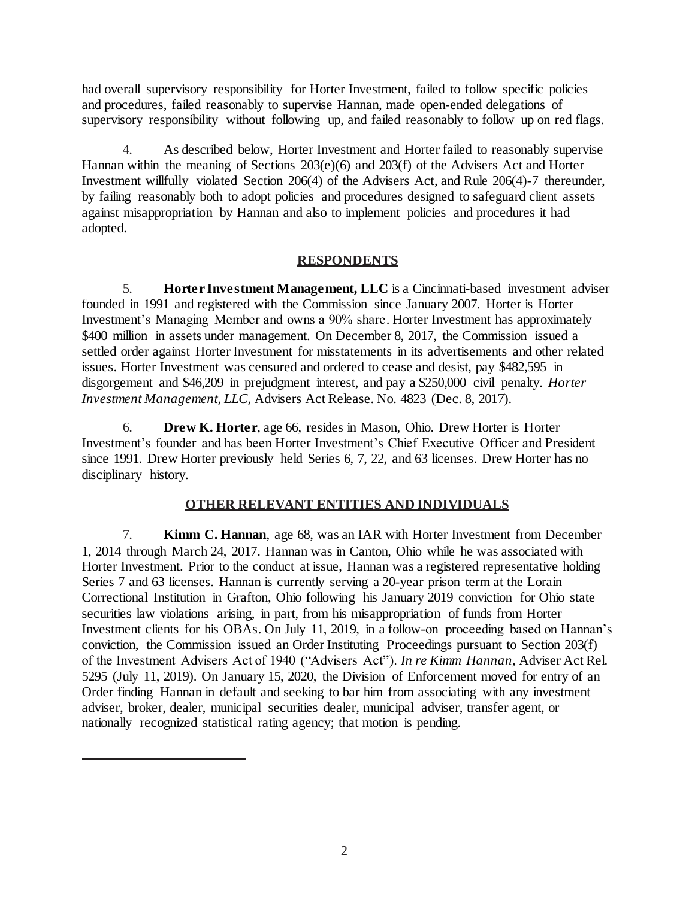had overall supervisory responsibility for Horter Investment, failed to follow specific policies and procedures, failed reasonably to supervise Hannan, made open-ended delegations of supervisory responsibility without following up, and failed reasonably to follow up on red flags.

4. As described below, Horter Investment and Horter failed to reasonably supervise Hannan within the meaning of Sections 203(e)(6) and 203(f) of the Advisers Act and Horter Investment willfully violated Section 206(4) of the Advisers Act, and Rule 206(4)-7 thereunder, by failing reasonably both to adopt policies and procedures designed to safeguard client assets against misappropriation by Hannan and also to implement policies and procedures it had adopted.

#### **RESPONDENTS**

5. **Horter Investment Management, LLC** is a Cincinnati-based investment adviser founded in 1991 and registered with the Commission since January 2007. Horter is Horter Investment's Managing Member and owns a 90% share. Horter Investment has approximately \$400 million in assets under management. On December 8, 2017, the Commission issued a settled order against Horter Investment for misstatements in its advertisements and other related issues. Horter Investment was censured and ordered to cease and desist, pay \$482,595 in disgorgement and \$46,209 in prejudgment interest, and pay a \$250,000 civil penalty. *Horter Investment Management, LLC,* Advisers Act Release. No. 4823 (Dec. 8, 2017).

6. **Drew K. Horter**, age 66, resides in Mason, Ohio. Drew Horter is Horter Investment's founder and has been Horter Investment's Chief Executive Officer and President since 1991. Drew Horter previously held Series 6, 7, 22, and 63 licenses. Drew Horter has no disciplinary history.

# **OTHER RELEVANT ENTITIES AND INDIVIDUALS**

7. **Kimm C. Hannan**, age 68, was an IAR with Horter Investment from December 1, 2014 through March 24, 2017. Hannan was in Canton, Ohio while he was associated with Horter Investment. Prior to the conduct at issue, Hannan was a registered representative holding Series 7 and 63 licenses. Hannan is currently serving a 20-year prison term at the Lorain Correctional Institution in Grafton, Ohio following his January 2019 conviction for Ohio state securities law violations arising, in part, from his misappropriation of funds from Horter Investment clients for his OBAs. On July 11, 2019, in a follow-on proceeding based on Hannan's conviction, the Commission issued an Order Instituting Proceedings pursuant to Section 203(f) of the Investment Advisers Act of 1940 ("Advisers Act"). *In re Kimm Hannan,* Adviser Act Rel. 5295 (July 11, 2019). On January 15, 2020, the Division of Enforcement moved for entry of an Order finding Hannan in default and seeking to bar him from associating with any investment adviser, broker, dealer, municipal securities dealer, municipal adviser, transfer agent, or nationally recognized statistical rating agency; that motion is pending.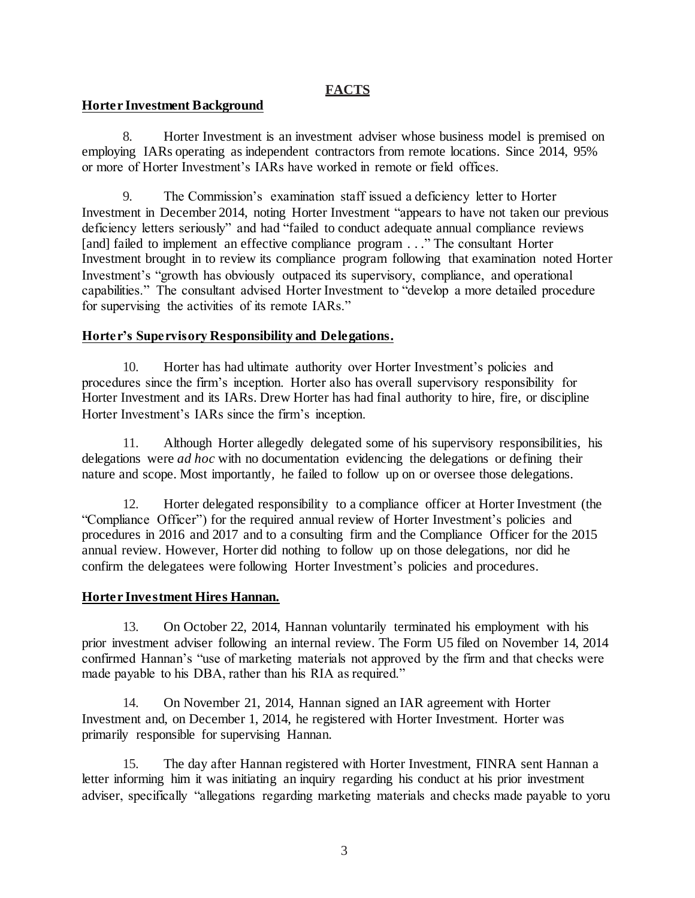## **FACTS**

### **Horter Investment Background**

8. Horter Investment is an investment adviser whose business model is premised on employing IARs operating as independent contractors from remote locations. Since 2014, 95% or more of Horter Investment's IARs have worked in remote or field offices.

9. The Commission's examination staff issued a deficiency letter to Horter Investment in December 2014, noting Horter Investment "appears to have not taken our previous deficiency letters seriously" and had "failed to conduct adequate annual compliance reviews [and] failed to implement an effective compliance program . . ." The consultant Horter Investment brought in to review its compliance program following that examination noted Horter Investment's "growth has obviously outpaced its supervisory, compliance, and operational capabilities." The consultant advised Horter Investment to "develop a more detailed procedure for supervising the activities of its remote IARs."

### **Horter's Supervisory Responsibility and Delegations.**

10. Horter has had ultimate authority over Horter Investment's policies and procedures since the firm's inception. Horter also has overall supervisory responsibility for Horter Investment and its IARs. Drew Horter has had final authority to hire, fire, or discipline Horter Investment's IARs since the firm's inception.

11. Although Horter allegedly delegated some of his supervisory responsibilities, his delegations were *ad hoc* with no documentation evidencing the delegations or defining their nature and scope. Most importantly, he failed to follow up on or oversee those delegations.

12. Horter delegated responsibility to a compliance officer at Horter Investment (the "Compliance Officer") for the required annual review of Horter Investment's policies and procedures in 2016 and 2017 and to a consulting firm and the Compliance Officer for the 2015 annual review. However, Horter did nothing to follow up on those delegations, nor did he confirm the delegatees were following Horter Investment's policies and procedures.

### **Horter Investment Hires Hannan.**

13. On October 22, 2014, Hannan voluntarily terminated his employment with his prior investment adviser following an internal review. The Form U5 filed on November 14, 2014 confirmed Hannan's "use of marketing materials not approved by the firm and that checks were made payable to his DBA, rather than his RIA as required."

14. On November 21, 2014, Hannan signed an IAR agreement with Horter Investment and, on December 1, 2014, he registered with Horter Investment. Horter was primarily responsible for supervising Hannan.

15. The day after Hannan registered with Horter Investment, FINRA sent Hannan a letter informing him it was initiating an inquiry regarding his conduct at his prior investment adviser, specifically "allegations regarding marketing materials and checks made payable to yoru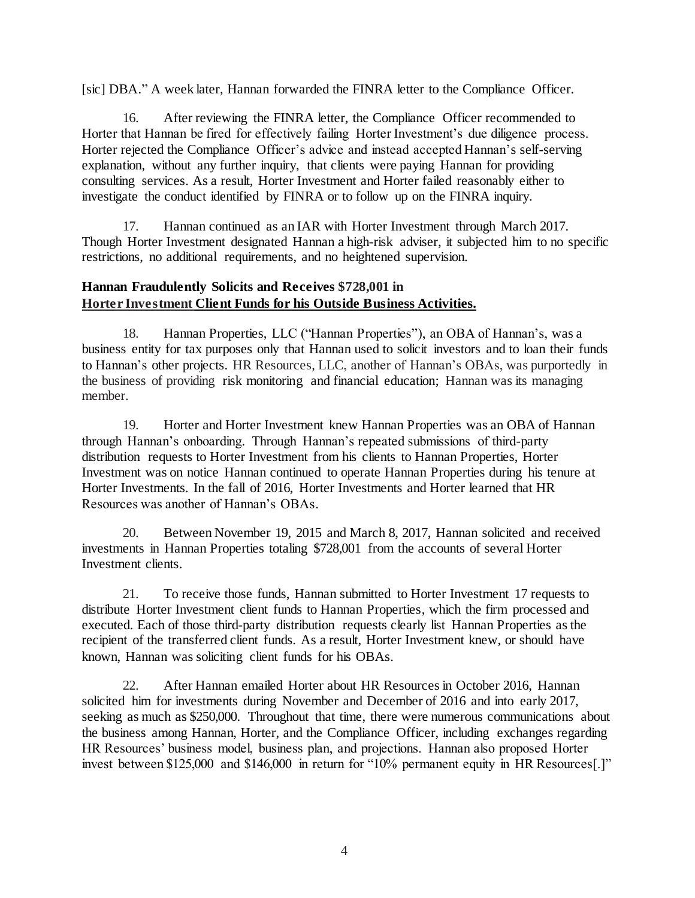[sic] DBA." A week later, Hannan forwarded the FINRA letter to the Compliance Officer.

16. After reviewing the FINRA letter, the Compliance Officer recommended to Horter that Hannan be fired for effectively failing Horter Investment's due diligence process. Horter rejected the Compliance Officer's advice and instead accepted Hannan's self-serving explanation, without any further inquiry, that clients were paying Hannan for providing consulting services. As a result, Horter Investment and Horter failed reasonably either to investigate the conduct identified by FINRA or to follow up on the FINRA inquiry.

17. Hannan continued as an IAR with Horter Investment through March 2017. Though Horter Investment designated Hannan a high-risk adviser, it subjected him to no specific restrictions, no additional requirements, and no heightened supervision.

## **Hannan Fraudulently Solicits and Receives \$728,001 in Horter Investment Client Funds for his Outside Business Activities.**

18. Hannan Properties, LLC ("Hannan Properties"), an OBA of Hannan's, was a business entity for tax purposes only that Hannan used to solicit investors and to loan their funds to Hannan's other projects. HR Resources, LLC, another of Hannan's OBAs, was purportedly in the business of providing risk monitoring and financial education; Hannan was its managing member.

19. Horter and Horter Investment knew Hannan Properties was an OBA of Hannan through Hannan's onboarding. Through Hannan's repeated submissions of third-party distribution requests to Horter Investment from his clients to Hannan Properties, Horter Investment was on notice Hannan continued to operate Hannan Properties during his tenure at Horter Investments. In the fall of 2016, Horter Investments and Horter learned that HR Resources was another of Hannan's OBAs.

20. Between November 19, 2015 and March 8, 2017, Hannan solicited and received investments in Hannan Properties totaling \$728,001 from the accounts of several Horter Investment clients.

21. To receive those funds, Hannan submitted to Horter Investment 17 requests to distribute Horter Investment client funds to Hannan Properties, which the firm processed and executed. Each of those third-party distribution requests clearly list Hannan Properties as the recipient of the transferred client funds. As a result, Horter Investment knew, or should have known, Hannan was soliciting client funds for his OBAs.

22. After Hannan emailed Horter about HR Resources in October 2016, Hannan solicited him for investments during November and December of 2016 and into early 2017, seeking as much as \$250,000. Throughout that time, there were numerous communications about the business among Hannan, Horter, and the Compliance Officer, including exchanges regarding HR Resources' business model, business plan, and projections. Hannan also proposed Horter invest between \$125,000 and \$146,000 in return for "10% permanent equity in HR Resources[.]"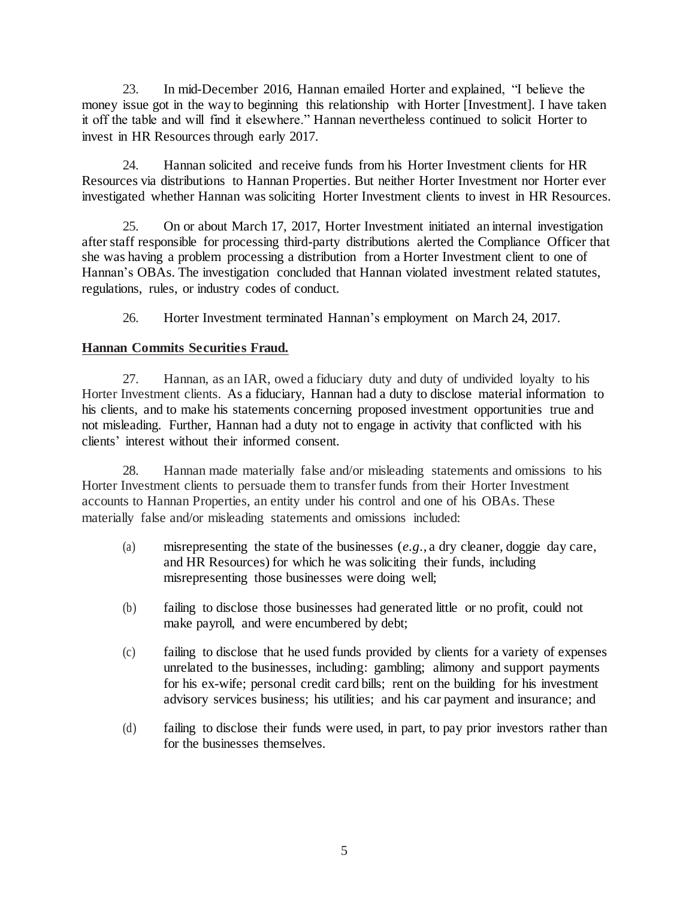23. In mid-December 2016, Hannan emailed Horter and explained, "I believe the money issue got in the way to beginning this relationship with Horter [Investment]. I have taken it off the table and will find it elsewhere." Hannan nevertheless continued to solicit Horter to invest in HR Resources through early 2017.

24. Hannan solicited and receive funds from his Horter Investment clients for HR Resources via distributions to Hannan Properties. But neither Horter Investment nor Horter ever investigated whether Hannan was soliciting Horter Investment clients to invest in HR Resources.

25. On or about March 17, 2017, Horter Investment initiated an internal investigation after staff responsible for processing third-party distributions alerted the Compliance Officer that she was having a problem processing a distribution from a Horter Investment client to one of Hannan's OBAs. The investigation concluded that Hannan violated investment related statutes, regulations, rules, or industry codes of conduct.

26. Horter Investment terminated Hannan's employment on March 24, 2017.

### **Hannan Commits Securities Fraud.**

27. Hannan, as an IAR, owed a fiduciary duty and duty of undivided loyalty to his Horter Investment clients. As a fiduciary, Hannan had a duty to disclose material information to his clients, and to make his statements concerning proposed investment opportunities true and not misleading. Further, Hannan had a duty not to engage in activity that conflicted with his clients' interest without their informed consent.

28. Hannan made materially false and/or misleading statements and omissions to his Horter Investment clients to persuade them to transfer funds from their Horter Investment accounts to Hannan Properties, an entity under his control and one of his OBAs. These materially false and/or misleading statements and omissions included:

- (a) misrepresenting the state of the businesses (*e.g.*, a dry cleaner, doggie day care, and HR Resources) for which he was soliciting their funds, including misrepresenting those businesses were doing well;
- (b) failing to disclose those businesses had generated little or no profit, could not make payroll, and were encumbered by debt;
- (c) failing to disclose that he used funds provided by clients for a variety of expenses unrelated to the businesses, including: gambling; alimony and support payments for his ex-wife; personal credit card bills; rent on the building for his investment advisory services business; his utilities; and his car payment and insurance; and
- (d) failing to disclose their funds were used, in part, to pay prior investors rather than for the businesses themselves.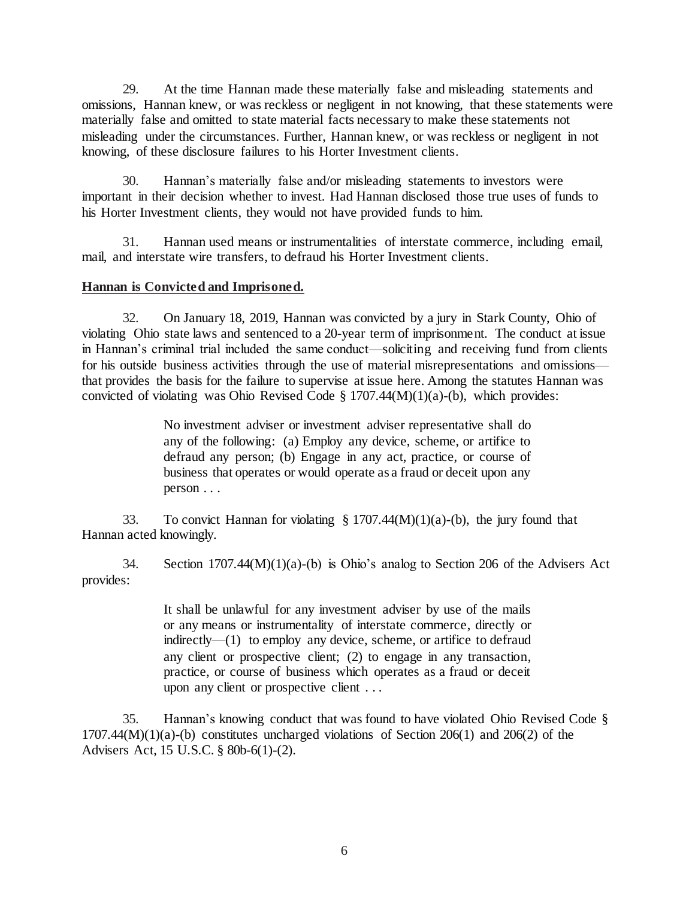29. At the time Hannan made these materially false and misleading statements and omissions, Hannan knew, or was reckless or negligent in not knowing, that these statements were materially false and omitted to state material facts necessary to make these statements not misleading under the circumstances. Further, Hannan knew, or was reckless or negligent in not knowing, of these disclosure failures to his Horter Investment clients.

30. Hannan's materially false and/or misleading statements to investors were important in their decision whether to invest. Had Hannan disclosed those true uses of funds to his Horter Investment clients, they would not have provided funds to him.

31. Hannan used means or instrumentalities of interstate commerce, including email, mail, and interstate wire transfers, to defraud his Horter Investment clients.

### **Hannan is Convicted and Imprisoned.**

32. On January 18, 2019, Hannan was convicted by a jury in Stark County, Ohio of violating Ohio state laws and sentenced to a 20-year term of imprisonment. The conduct at issue in Hannan's criminal trial included the same conduct—soliciting and receiving fund from clients for his outside business activities through the use of material misrepresentations and omissions that provides the basis for the failure to supervise at issue here. Among the statutes Hannan was convicted of violating was Ohio Revised Code  $\S 1707.44(M)(1)(a)$ -(b), which provides:

> No investment adviser or investment adviser representative shall do any of the following: (a) Employ any device, scheme, or artifice to defraud any person; (b) Engage in any act, practice, or course of business that operates or would operate as a fraud or deceit upon any person . . .

33. To convict Hannan for violating  $\S 1707.44(M)(1)(a)$ -(b), the jury found that Hannan acted knowingly.

34. Section 1707.44(M)(1)(a)-(b) is Ohio's analog to Section 206 of the Advisers Act provides:

> It shall be unlawful for any [investment adviser](https://www.law.cornell.edu/definitions/uscode.php?width=840&height=800&iframe=true&def_id=15-USC-1853200803-1773320120&term_occur=999&term_src=title:15:chapter:2D:subchapter:II:section:80b–6) by use of the mails or any means [or instrumentality of interstate commerce,](https://www.law.cornell.edu/definitions/uscode.php?width=840&height=800&iframe=true&def_id=15-USC-1436745332-1773320123&term_occur=999&term_src=title:15:chapter:2D:subchapter:II:section:80b–6) directly or indirectly—(1) to employ any device, scheme, or artifice to defraud any client or prospective client; (2) to engage in any transaction, practice, or course of business which operates as a fraud or deceit upon any client or prospective client . . .

35. Hannan's knowing conduct that was found to have violated Ohio Revised Code §  $1707.44(M)(1)(a)$ -(b) constitutes uncharged violations of Section 206(1) and 206(2) of the Advisers Act, 15 U.S.C. § 80b-6(1)-(2).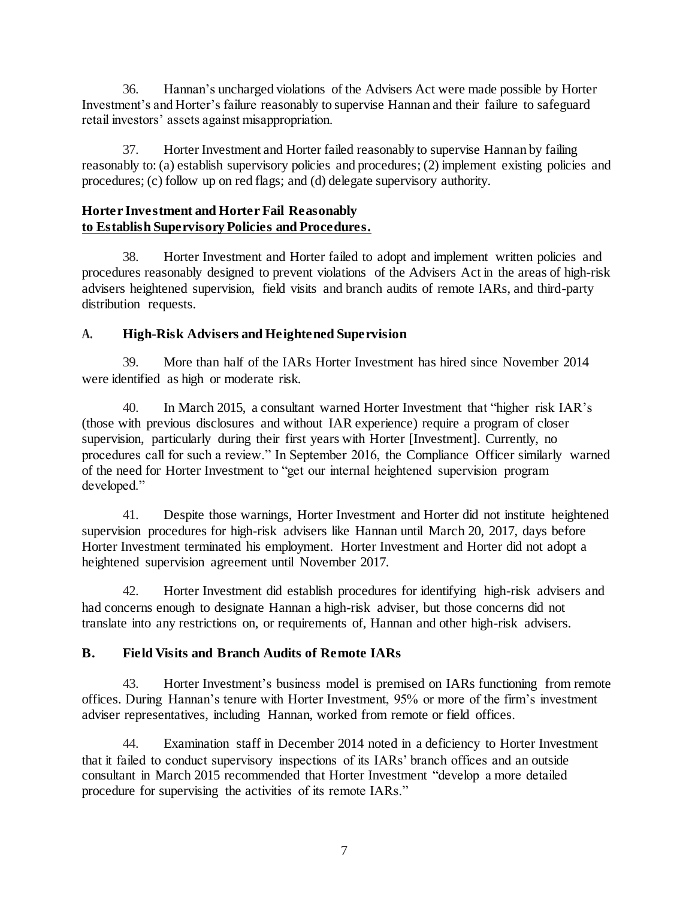36. Hannan's uncharged violations of the Advisers Act were made possible by Horter Investment's and Horter's failure reasonably to supervise Hannan and their failure to safeguard retail investors' assets against misappropriation.

37. Horter Investment and Horter failed reasonably to supervise Hannan by failing reasonably to: (a) establish supervisory policies and procedures; (2) implement existing policies and procedures; (c) follow up on red flags; and (d) delegate supervisory authority.

# **Horter Investment and Horter Fail Reasonably to Establish Supervisory Policies and Procedures.**

38. Horter Investment and Horter failed to adopt and implement written policies and procedures reasonably designed to prevent violations of the Advisers Act in the areas of high-risk advisers heightened supervision, field visits and branch audits of remote IARs, and third-party distribution requests.

# **A. High-Risk Advisers and Heightened Supervision**

39. More than half of the IARs Horter Investment has hired since November 2014 were identified as high or moderate risk.

40. In March 2015, a consultant warned Horter Investment that "higher risk IAR's (those with previous disclosures and without IAR experience) require a program of closer supervision, particularly during their first years with Horter [Investment]. Currently, no procedures call for such a review." In September 2016, the Compliance Officer similarly warned of the need for Horter Investment to "get our internal heightened supervision program developed."

41. Despite those warnings, Horter Investment and Horter did not institute heightened supervision procedures for high-risk advisers like Hannan until March 20, 2017, days before Horter Investment terminated his employment. Horter Investment and Horter did not adopt a heightened supervision agreement until November 2017.

42. Horter Investment did establish procedures for identifying high-risk advisers and had concerns enough to designate Hannan a high-risk adviser, but those concerns did not translate into any restrictions on, or requirements of, Hannan and other high-risk advisers.

# **B. Field Visits and Branch Audits of Remote IARs**

43. Horter Investment's business model is premised on IARs functioning from remote offices. During Hannan's tenure with Horter Investment, 95% or more of the firm's investment adviser representatives, including Hannan, worked from remote or field offices.

44. Examination staff in December 2014 noted in a deficiency to Horter Investment that it failed to conduct supervisory inspections of its IARs' branch offices and an outside consultant in March 2015 recommended that Horter Investment "develop a more detailed procedure for supervising the activities of its remote IARs."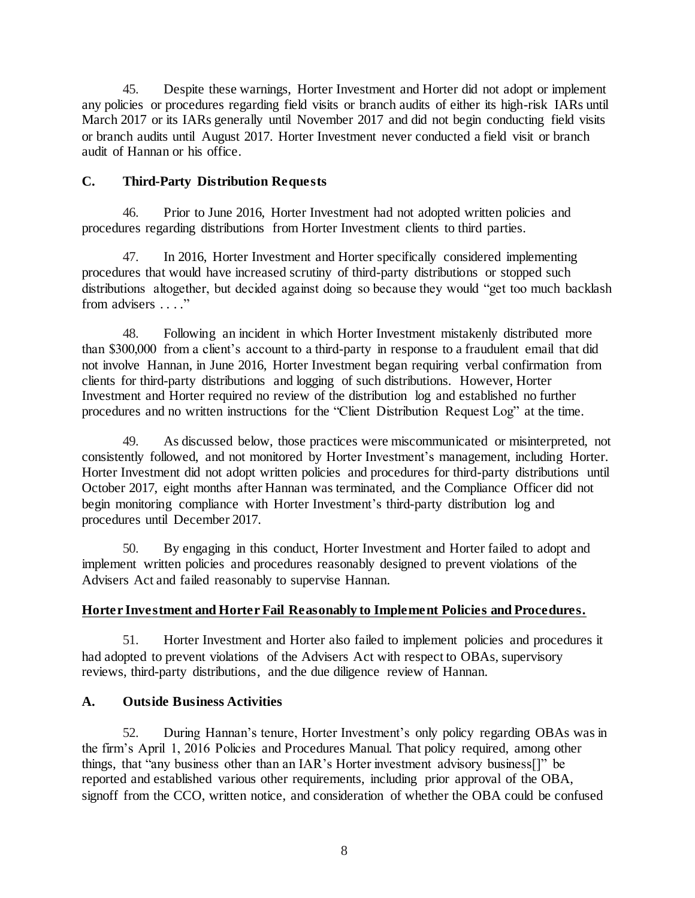45. Despite these warnings, Horter Investment and Horter did not adopt or implement any policies or procedures regarding field visits or branch audits of either its high-risk IARs until March 2017 or its IARs generally until November 2017 and did not begin conducting field visits or branch audits until August 2017. Horter Investment never conducted a field visit or branch audit of Hannan or his office.

### **C. Third-Party Distribution Requests**

46. Prior to June 2016, Horter Investment had not adopted written policies and procedures regarding distributions from Horter Investment clients to third parties.

47. In 2016, Horter Investment and Horter specifically considered implementing procedures that would have increased scrutiny of third-party distributions or stopped such distributions altogether, but decided against doing so because they would "get too much backlash" from advisers ...."

48. Following an incident in which Horter Investment mistakenly distributed more than \$300,000 from a client's account to a third-party in response to a fraudulent email that did not involve Hannan, in June 2016, Horter Investment began requiring verbal confirmation from clients for third-party distributions and logging of such distributions. However, Horter Investment and Horter required no review of the distribution log and established no further procedures and no written instructions for the "Client Distribution Request Log" at the time.

49. As discussed below, those practices were miscommunicated or misinterpreted, not consistently followed, and not monitored by Horter Investment's management, including Horter. Horter Investment did not adopt written policies and procedures for third-party distributions until October 2017, eight months after Hannan was terminated, and the Compliance Officer did not begin monitoring compliance with Horter Investment's third-party distribution log and procedures until December 2017.

50. By engaging in this conduct, Horter Investment and Horter failed to adopt and implement written policies and procedures reasonably designed to prevent violations of the Advisers Act and failed reasonably to supervise Hannan.

# **Horter Investment and Horter Fail Reasonably to Implement Policies and Procedures.**

51. Horter Investment and Horter also failed to implement policies and procedures it had adopted to prevent violations of the Advisers Act with respect to OBAs, supervisory reviews, third-party distributions, and the due diligence review of Hannan.

# **A. Outside Business Activities**

52. During Hannan's tenure, Horter Investment's only policy regarding OBAs was in the firm's April 1, 2016 Policies and Procedures Manual. That policy required, among other things, that "any business other than an IAR's Horter investment advisory business[]" be reported and established various other requirements, including prior approval of the OBA, signoff from the CCO, written notice, and consideration of whether the OBA could be confused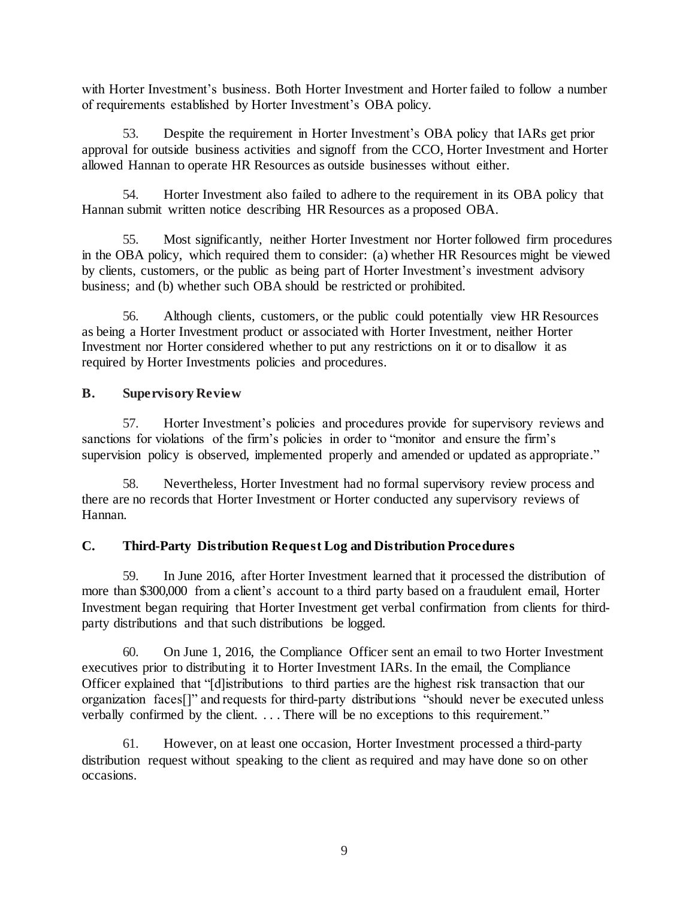with Horter Investment's business. Both Horter Investment and Horter failed to follow a number of requirements established by Horter Investment's OBA policy.

53. Despite the requirement in Horter Investment's OBA policy that IARs get prior approval for outside business activities and signoff from the CCO, Horter Investment and Horter allowed Hannan to operate HR Resources as outside businesses without either.

54. Horter Investment also failed to adhere to the requirement in its OBA policy that Hannan submit written notice describing HR Resources as a proposed OBA.

55. Most significantly, neither Horter Investment nor Horter followed firm procedures in the OBA policy, which required them to consider: (a) whether HR Resources might be viewed by clients, customers, or the public as being part of Horter Investment's investment advisory business; and (b) whether such OBA should be restricted or prohibited.

56. Although clients, customers, or the public could potentially view HR Resources as being a Horter Investment product or associated with Horter Investment, neither Horter Investment nor Horter considered whether to put any restrictions on it or to disallow it as required by Horter Investments policies and procedures.

# **B. Supervisory Review**

57. Horter Investment's policies and procedures provide for supervisory reviews and sanctions for violations of the firm's policies in order to "monitor and ensure the firm's supervision policy is observed, implemented properly and amended or updated as appropriate."

58. Nevertheless, Horter Investment had no formal supervisory review process and there are no records that Horter Investment or Horter conducted any supervisory reviews of Hannan.

# **C. Third-Party Distribution Request Log and Distribution Procedures**

59. In June 2016, after Horter Investment learned that it processed the distribution of more than \$300,000 from a client's account to a third party based on a fraudulent email, Horter Investment began requiring that Horter Investment get verbal confirmation from clients for thirdparty distributions and that such distributions be logged.

60. On June 1, 2016, the Compliance Officer sent an email to two Horter Investment executives prior to distributing it to Horter Investment IARs. In the email, the Compliance Officer explained that "[d]istributions to third parties are the highest risk transaction that our organization faces[]" and requests for third-party distributions "should never be executed unless verbally confirmed by the client. . . . There will be no exceptions to this requirement."

61. However, on at least one occasion, Horter Investment processed a third-party distribution request without speaking to the client as required and may have done so on other occasions.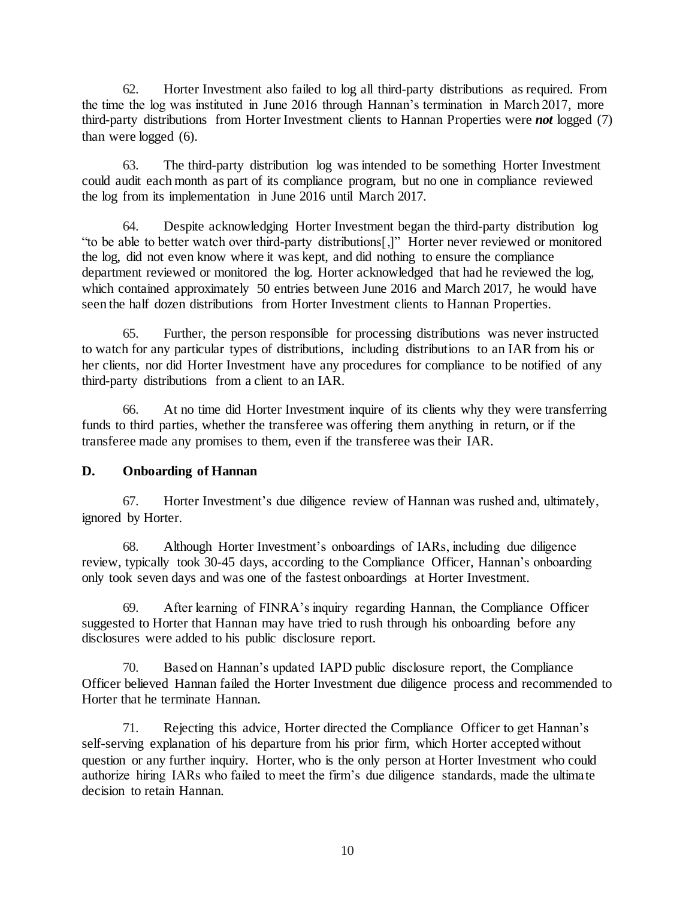62. Horter Investment also failed to log all third-party distributions as required. From the time the log was instituted in June 2016 through Hannan's termination in March 2017, more third-party distributions from Horter Investment clients to Hannan Properties were *not* logged (7) than were logged (6).

63. The third-party distribution log was intended to be something Horter Investment could audit each month as part of its compliance program, but no one in compliance reviewed the log from its implementation in June 2016 until March 2017.

64. Despite acknowledging Horter Investment began the third-party distribution log "to be able to better watch over third-party distributions[,]" Horter never reviewed or monitored the log, did not even know where it was kept, and did nothing to ensure the compliance department reviewed or monitored the log. Horter acknowledged that had he reviewed the log, which contained approximately 50 entries between June 2016 and March 2017, he would have seen the half dozen distributions from Horter Investment clients to Hannan Properties.

65. Further, the person responsible for processing distributions was never instructed to watch for any particular types of distributions, including distributions to an IAR from his or her clients, nor did Horter Investment have any procedures for compliance to be notified of any third-party distributions from a client to an IAR.

66. At no time did Horter Investment inquire of its clients why they were transferring funds to third parties, whether the transferee was offering them anything in return, or if the transferee made any promises to them, even if the transferee was their IAR.

# **D. Onboarding of Hannan**

67. Horter Investment's due diligence review of Hannan was rushed and, ultimately, ignored by Horter.

68. Although Horter Investment's onboardings of IARs, including due diligence review, typically took 30-45 days, according to the Compliance Officer, Hannan's onboarding only took seven days and was one of the fastest onboardings at Horter Investment.

69. After learning of FINRA's inquiry regarding Hannan, the Compliance Officer suggested to Horter that Hannan may have tried to rush through his onboarding before any disclosures were added to his public disclosure report.

70. Based on Hannan's updated IAPD public disclosure report, the Compliance Officer believed Hannan failed the Horter Investment due diligence process and recommended to Horter that he terminate Hannan.

71. Rejecting this advice, Horter directed the Compliance Officer to get Hannan's self-serving explanation of his departure from his prior firm, which Horter accepted without question or any further inquiry. Horter, who is the only person at Horter Investment who could authorize hiring IARs who failed to meet the firm's due diligence standards, made the ultimate decision to retain Hannan.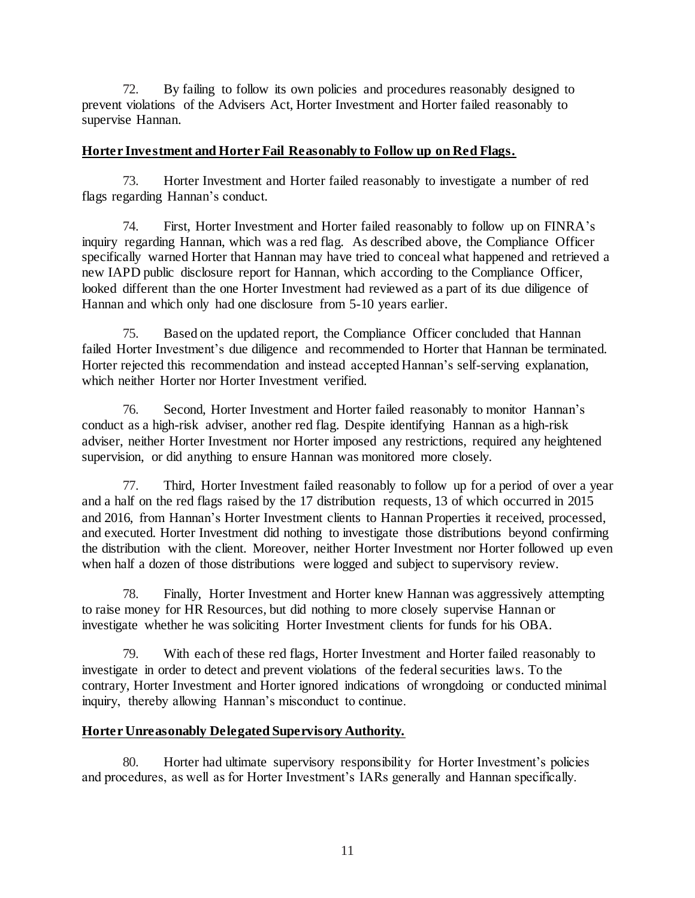72. By failing to follow its own policies and procedures reasonably designed to prevent violations of the Advisers Act, Horter Investment and Horter failed reasonably to supervise Hannan.

#### **Horter Investment and Horter Fail Reasonably to Follow up on Red Flags.**

73. Horter Investment and Horter failed reasonably to investigate a number of red flags regarding Hannan's conduct.

74. First, Horter Investment and Horter failed reasonably to follow up on FINRA's inquiry regarding Hannan, which was a red flag. As described above, the Compliance Officer specifically warned Horter that Hannan may have tried to conceal what happened and retrieved a new IAPD public disclosure report for Hannan, which according to the Compliance Officer, looked different than the one Horter Investment had reviewed as a part of its due diligence of Hannan and which only had one disclosure from 5-10 years earlier.

75. Based on the updated report, the Compliance Officer concluded that Hannan failed Horter Investment's due diligence and recommended to Horter that Hannan be terminated. Horter rejected this recommendation and instead accepted Hannan's self-serving explanation, which neither Horter nor Horter Investment verified.

76. Second, Horter Investment and Horter failed reasonably to monitor Hannan's conduct as a high-risk adviser, another red flag. Despite identifying Hannan as a high-risk adviser, neither Horter Investment nor Horter imposed any restrictions, required any heightened supervision, or did anything to ensure Hannan was monitored more closely.

77. Third, Horter Investment failed reasonably to follow up for a period of over a year and a half on the red flags raised by the 17 distribution requests, 13 of which occurred in 2015 and 2016, from Hannan's Horter Investment clients to Hannan Properties it received, processed, and executed. Horter Investment did nothing to investigate those distributions beyond confirming the distribution with the client. Moreover, neither Horter Investment nor Horter followed up even when half a dozen of those distributions were logged and subject to supervisory review.

78. Finally, Horter Investment and Horter knew Hannan was aggressively attempting to raise money for HR Resources, but did nothing to more closely supervise Hannan or investigate whether he was soliciting Horter Investment clients for funds for his OBA.

79. With each of these red flags, Horter Investment and Horter failed reasonably to investigate in order to detect and prevent violations of the federal securities laws. To the contrary, Horter Investment and Horter ignored indications of wrongdoing or conducted minimal inquiry, thereby allowing Hannan's misconduct to continue.

### **Horter Unreasonably Delegated Supervisory Authority.**

80. Horter had ultimate supervisory responsibility for Horter Investment's policies and procedures, as well as for Horter Investment's IARs generally and Hannan specifically.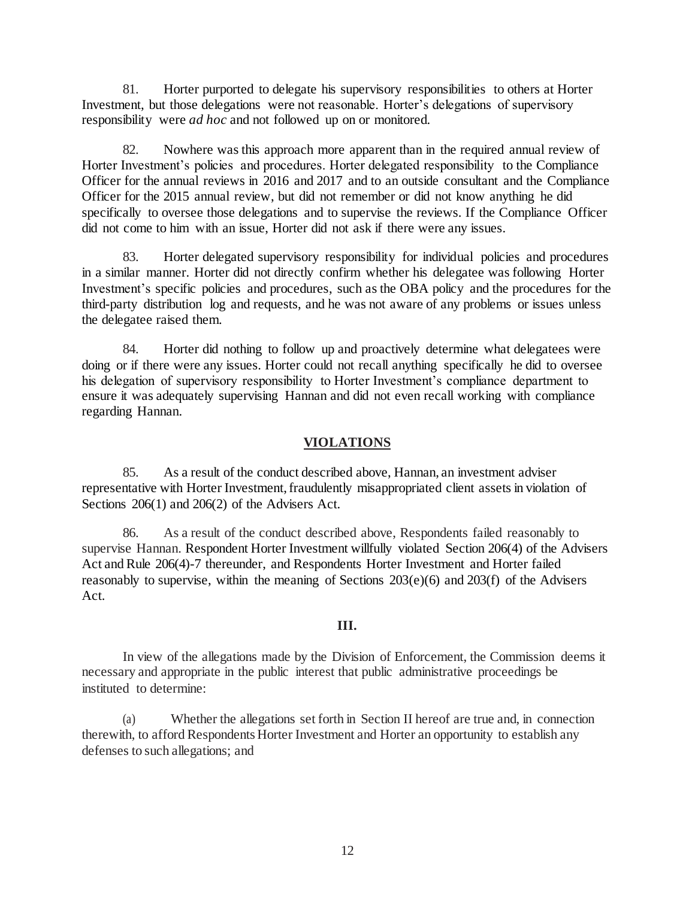81. Horter purported to delegate his supervisory responsibilities to others at Horter Investment, but those delegations were not reasonable. Horter's delegations of supervisory responsibility were *ad hoc* and not followed up on or monitored.

82. Nowhere was this approach more apparent than in the required annual review of Horter Investment's policies and procedures. Horter delegated responsibility to the Compliance Officer for the annual reviews in 2016 and 2017 and to an outside consultant and the Compliance Officer for the 2015 annual review, but did not remember or did not know anything he did specifically to oversee those delegations and to supervise the reviews. If the Compliance Officer did not come to him with an issue, Horter did not ask if there were any issues.

83. Horter delegated supervisory responsibility for individual policies and procedures in a similar manner. Horter did not directly confirm whether his delegatee was following Horter Investment's specific policies and procedures, such as the OBA policy and the procedures for the third-party distribution log and requests, and he was not aware of any problems or issues unless the delegatee raised them.

84. Horter did nothing to follow up and proactively determine what delegatees were doing or if there were any issues. Horter could not recall anything specifically he did to oversee his delegation of supervisory responsibility to Horter Investment's compliance department to ensure it was adequately supervising Hannan and did not even recall working with compliance regarding Hannan.

#### **VIOLATIONS**

85. As a result of the conduct described above, Hannan, an investment adviser representative with Horter Investment, fraudulently misappropriated client assets in violation of Sections 206(1) and 206(2) of the Advisers Act.

86. As a result of the conduct described above, Respondents failed reasonably to supervise Hannan. Respondent Horter Investment willfully violated Section 206(4) of the Advisers Act and Rule 206(4)-7 thereunder, and Respondents Horter Investment and Horter failed reasonably to supervise, within the meaning of Sections  $203(e)(6)$  and  $203(f)$  of the Advisers Act.

#### **III.**

In view of the allegations made by the Division of Enforcement, the Commission deems it necessary and appropriate in the public interest that public administrative proceedings be instituted to determine:

(a) Whether the allegations set forth in Section II hereof are true and, in connection therewith, to afford Respondents Horter Investment and Horter an opportunity to establish any defenses to such allegations; and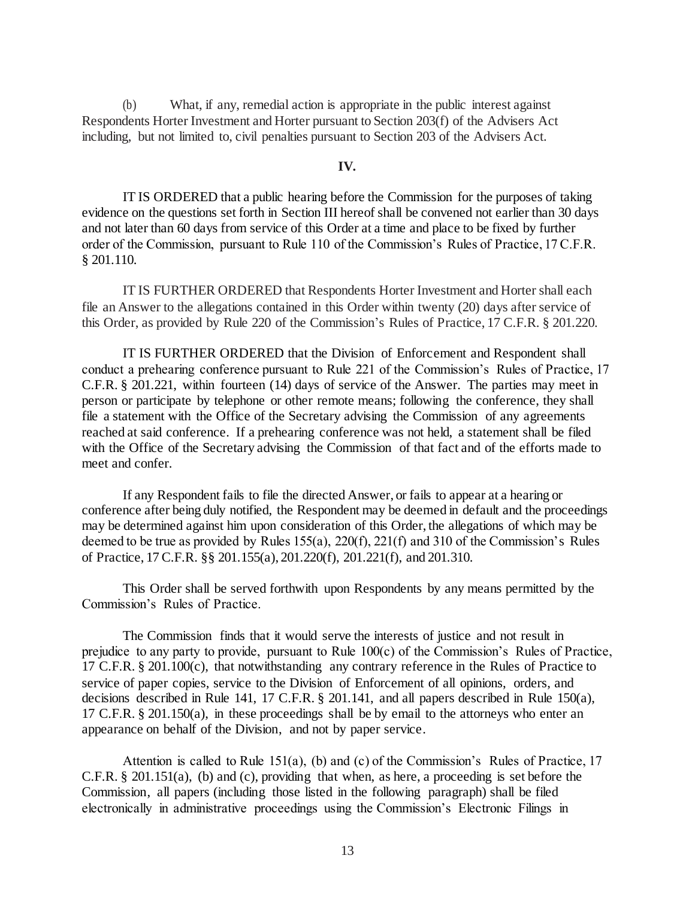(b) What, if any, remedial action is appropriate in the public interest against Respondents Horter Investment and Horter pursuant to Section 203(f) of the Advisers Act including, but not limited to, civil penalties pursuant to Section 203 of the Advisers Act.

#### **IV.**

IT IS ORDERED that a public hearing before the Commission for the purposes of taking evidence on the questions set forth in Section III hereof shall be convened not earlier than 30 days and not later than 60 days from service of this Order at a time and place to be fixed by further order of the Commission, pursuant to Rule 110 of the Commission's Rules of Practice, 17 C.F.R. § 201.110.

IT IS FURTHER ORDERED that Respondents Horter Investment and Horter shall each file an Answer to the allegations contained in this Order within twenty (20) days after service of this Order, as provided by Rule 220 of the Commission's Rules of Practice, 17 C.F.R. § 201.220.

IT IS FURTHER ORDERED that the Division of Enforcement and Respondent shall conduct a prehearing conference pursuant to Rule 221 of the Commission's Rules of Practice, 17 C.F.R. § 201.221, within fourteen (14) days of service of the Answer. The parties may meet in person or participate by telephone or other remote means; following the conference, they shall file a statement with the Office of the Secretary advising the Commission of any agreements reached at said conference. If a prehearing conference was not held, a statement shall be filed with the Office of the Secretary advising the Commission of that fact and of the efforts made to meet and confer.

If any Respondent fails to file the directed Answer, or fails to appear at a hearing or conference after being duly notified, the Respondent may be deemed in default and the proceedings may be determined against him upon consideration of this Order, the allegations of which may be deemed to be true as provided by Rules 155(a), 220(f), 221(f) and 310 of the Commission's Rules of Practice, 17 C.F.R. §§ 201.155(a), 201.220(f), 201.221(f), and 201.310.

This Order shall be served forthwith upon Respondents by any means permitted by the Commission's Rules of Practice.

The Commission finds that it would serve the interests of justice and not result in prejudice to any party to provide, pursuant to Rule 100(c) of the Commission's Rules of Practice, 17 C.F.R. § 201.100(c), that notwithstanding any contrary reference in the Rules of Practice to service of paper copies, service to the Division of Enforcement of all opinions, orders, and decisions described in Rule 141, 17 C.F.R. § 201.141, and all papers described in Rule 150(a), 17 C.F.R. § 201.150(a), in these proceedings shall be by email to the attorneys who enter an appearance on behalf of the Division, and not by paper service.

Attention is called to Rule 151(a), (b) and (c) of the Commission's Rules of Practice, 17 C.F.R. § 201.151(a), (b) and (c), providing that when, as here, a proceeding is set before the Commission, all papers (including those listed in the following paragraph) shall be filed electronically in administrative proceedings using the Commission's Electronic Filings in